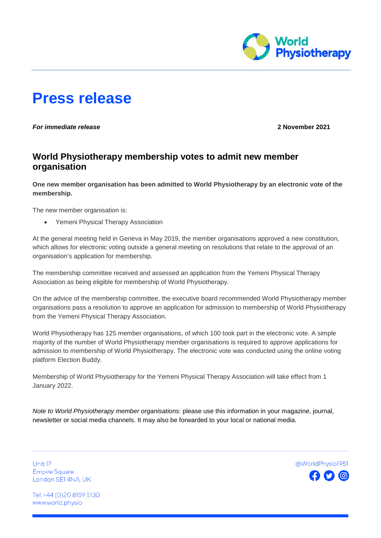

# **Press release**

*For immediate release* **2 November 2021**

# **World Physiotherapy membership votes to admit new member organisation**

**One new member organisation has been admitted to World Physiotherapy by an electronic vote of the membership.**

The new member organisation is:

• Yemeni Physical Therapy Association

At the general meeting held in Geneva in May 2019, the member organisations approved a new constitution, which allows for electronic voting outside a general meeting on resolutions that relate to the approval of an organisation's application for membership.

The membership committee received and assessed an application from the Yemeni Physical Therapy Association as being eligible for membership of World Physiotherapy.

On the advice of the membership committee, the executive board recommended World Physiotherapy member organisations pass a resolution to approve an application for admission to membership of World Physiotherapy from the Yemeni Physical Therapy Association.

World Physiotherapy has 125 member organisations, of which 100 took part in the electronic vote. A simple majority of the number of World Physiotherapy member organisations is required to approve applications for admission to membership of World Physiotherapy. The electronic vote was conducted using the online voting platform Election Buddy.

Membership of World Physiotherapy for the Yemeni Physical Therapy Association will take effect from 1 January 2022.

*Note to World Physiotherapy member organisations:* please use this information in your magazine, journal, newsletter or social media channels. It may also be forwarded to your local or national media.

Unit 17 **Empire Square** London SE14NA, UK



Tel: +44 (0)20 8159 5130 www.world.physio